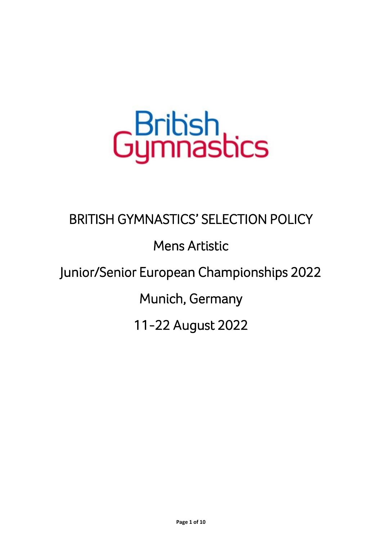# Gumnastics

## BRITISH GYMNASTICS' SELECTION POLICY

## Mens Artistic

## Junior/Senior European Championships 2022

Munich, Germany

11-22 August 2022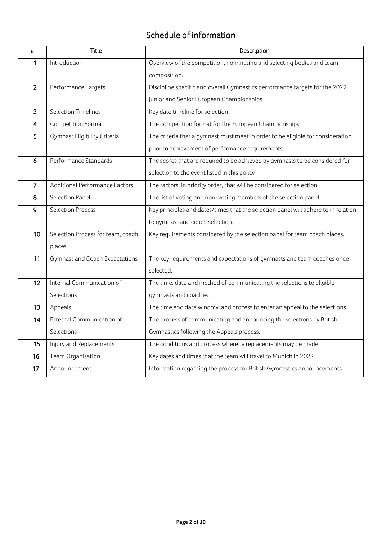#### Schedule of information

| $\pmb{\ast}$            | <b>Title</b>                                                                                                   | Description                                                                     |
|-------------------------|----------------------------------------------------------------------------------------------------------------|---------------------------------------------------------------------------------|
| 1                       | Introduction                                                                                                   | Overview of the competition, nominating and selecting bodies and team           |
|                         |                                                                                                                | composition.                                                                    |
| $\overline{2}$          | Performance Targets                                                                                            | Discipline specific and overall Gymnastics performance targets for the 2022     |
|                         |                                                                                                                | Junior and Senior European Championships.                                       |
| 3                       | <b>Selection Timelines</b>                                                                                     | Key date timeline for selection.                                                |
| $\overline{\mathbf{4}}$ | Competition Format                                                                                             | The competition format for the European Championships                           |
| 5                       | Gymnast Eligibility Criteria                                                                                   | The criteria that a gymnast must meet in order to be eligible for consideration |
|                         |                                                                                                                | prior to achievement of performance requirements.                               |
| 6                       | Performance Standards                                                                                          | The scores that are required to be achieved by gymnasts to be considered for    |
|                         |                                                                                                                | selection to the event listed in this policy                                    |
| $\overline{7}$          | Additional Performance Factors                                                                                 | The factors, in priority order, that will be considered for selection.          |
| 8                       | Selection Panel                                                                                                | The list of voting and non-voting members of the selection panel                |
| 9                       | <b>Selection Process</b><br>Key principles and dates/times that the selection panel will adhere to in relation |                                                                                 |
|                         |                                                                                                                | to gymnast and coach selection.                                                 |
| 10                      | Selection Process for team, coach                                                                              | Key requirements considered by the selection panel for team coach places.       |
|                         | places                                                                                                         |                                                                                 |
| 11                      | <b>Gymnast and Coach Expectations</b>                                                                          | The key requirements and expectations of gymnasts and team coaches once         |
|                         |                                                                                                                | selected.                                                                       |
| 12                      | Internal Communication of                                                                                      | The time, date and method of communicating the selections to eligible           |
|                         | Selections                                                                                                     | gymnasts and coaches.                                                           |
| 13                      | Appeals                                                                                                        | The time and date window, and process to enter an appeal to the selections.     |
| 14                      | External Communication of                                                                                      | The process of communicating and announcing the selections by British           |
|                         | Selections                                                                                                     | Gymnastics following the Appeals process.                                       |
| 15                      | Injury and Replacements                                                                                        | The conditions and process whereby replacements may be made.                    |
| 16                      | Team Organisation                                                                                              | Key dates and times that the team will travel to Munich in 2022                 |
| 17                      | Announcement                                                                                                   | Information regarding the process for British Gymnastics announcements          |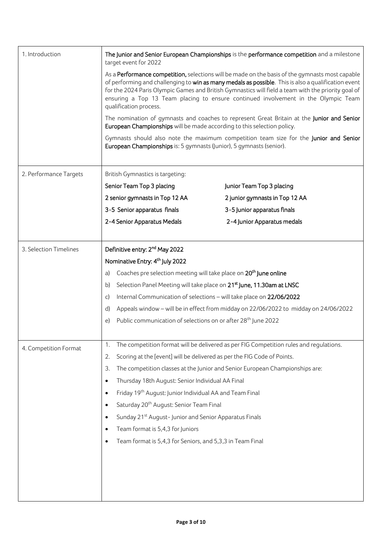| 1. Introduction        | The Junior and Senior European Championships is the performance competition and a milestone<br>target event for 2022                                                                                                                                                                                                                                                                                                          |                                                                                            |  |  |  |  |
|------------------------|-------------------------------------------------------------------------------------------------------------------------------------------------------------------------------------------------------------------------------------------------------------------------------------------------------------------------------------------------------------------------------------------------------------------------------|--------------------------------------------------------------------------------------------|--|--|--|--|
|                        | As a Performance competition, selections will be made on the basis of the gymnasts most capable<br>of performing and challenging to win as many medals as possible. This is also a qualification event<br>for the 2024 Paris Olympic Games and British Gymnastics will field a team with the priority goal of<br>ensuring a Top 13 Team placing to ensure continued involvement in the Olympic Team<br>qualification process. |                                                                                            |  |  |  |  |
|                        | European Championships will be made according to this selection policy.                                                                                                                                                                                                                                                                                                                                                       | The nomination of gymnasts and coaches to represent Great Britain at the Junior and Senior |  |  |  |  |
|                        | Gymnasts should also note the maximum competition team size for the Junior and Senior<br>European Championships is: 5 gymnasts (Junior), 5 gymnasts (senior).                                                                                                                                                                                                                                                                 |                                                                                            |  |  |  |  |
| 2. Performance Targets | British Gymnastics is targeting:                                                                                                                                                                                                                                                                                                                                                                                              |                                                                                            |  |  |  |  |
|                        | Senior Team Top 3 placing                                                                                                                                                                                                                                                                                                                                                                                                     | Junior Team Top 3 placing                                                                  |  |  |  |  |
|                        | 2 senior gymnasts in Top 12 AA                                                                                                                                                                                                                                                                                                                                                                                                | 2 junior gymnasts in Top 12 AA                                                             |  |  |  |  |
|                        | 3-5 Senior apparatus finals                                                                                                                                                                                                                                                                                                                                                                                                   | 3-5 Junior apparatus finals                                                                |  |  |  |  |
|                        | 2-4 Senior Apparatus Medals                                                                                                                                                                                                                                                                                                                                                                                                   | 2-4 Junior Apparatus medals                                                                |  |  |  |  |
| 3. Selection Timelines | Definitive entry: 2 <sup>nd</sup> May 2022                                                                                                                                                                                                                                                                                                                                                                                    |                                                                                            |  |  |  |  |
|                        | Nominative Entry: 4 <sup>th</sup> July 2022                                                                                                                                                                                                                                                                                                                                                                                   |                                                                                            |  |  |  |  |
|                        | Coaches pre selection meeting will take place on 20 <sup>th</sup> June online<br>a)                                                                                                                                                                                                                                                                                                                                           |                                                                                            |  |  |  |  |
|                        | Selection Panel Meeting will take place on 21 <sup>st</sup> June, 11.30am at LNSC<br>b)                                                                                                                                                                                                                                                                                                                                       |                                                                                            |  |  |  |  |
|                        | Internal Communication of selections - will take place on 22/06/2022<br>$\mathsf{C}$                                                                                                                                                                                                                                                                                                                                          |                                                                                            |  |  |  |  |
|                        | Appeals window - will be in effect from midday on 22/06/2022 to midday on 24/06/2022<br>$\mathsf{d}$                                                                                                                                                                                                                                                                                                                          |                                                                                            |  |  |  |  |
|                        | Public communication of selections on or after 28 <sup>th</sup> June 2022<br>e)                                                                                                                                                                                                                                                                                                                                               |                                                                                            |  |  |  |  |
| 4. Competition Format  | The competition format will be delivered as per FIG Competition rules and regulations.<br>1.                                                                                                                                                                                                                                                                                                                                  |                                                                                            |  |  |  |  |
|                        | Scoring at the [event] will be delivered as per the FIG Code of Points.<br>2.                                                                                                                                                                                                                                                                                                                                                 |                                                                                            |  |  |  |  |
|                        | 3.<br>The competition classes at the Junior and Senior European Championships are:                                                                                                                                                                                                                                                                                                                                            |                                                                                            |  |  |  |  |
|                        | Thursday 18th August: Senior Individual AA Final<br>$\bullet$                                                                                                                                                                                                                                                                                                                                                                 |                                                                                            |  |  |  |  |
|                        | Friday 19 <sup>th</sup> August: Junior Individual AA and Team Final<br>$\bullet$                                                                                                                                                                                                                                                                                                                                              |                                                                                            |  |  |  |  |
|                        | Saturday 20 <sup>th</sup> August: Senior Team Final<br>$\bullet$                                                                                                                                                                                                                                                                                                                                                              |                                                                                            |  |  |  |  |
|                        | Sunday 21 <sup>st</sup> August-Junior and Senior Apparatus Finals<br>$\bullet$                                                                                                                                                                                                                                                                                                                                                |                                                                                            |  |  |  |  |
|                        | Team format is 5,4,3 for Juniors<br>$\bullet$                                                                                                                                                                                                                                                                                                                                                                                 |                                                                                            |  |  |  |  |
|                        | Team format is 5,4,3 for Seniors, and 5,3,3 in Team Final<br>٠                                                                                                                                                                                                                                                                                                                                                                |                                                                                            |  |  |  |  |
|                        |                                                                                                                                                                                                                                                                                                                                                                                                                               |                                                                                            |  |  |  |  |
|                        |                                                                                                                                                                                                                                                                                                                                                                                                                               |                                                                                            |  |  |  |  |
|                        |                                                                                                                                                                                                                                                                                                                                                                                                                               |                                                                                            |  |  |  |  |
|                        |                                                                                                                                                                                                                                                                                                                                                                                                                               |                                                                                            |  |  |  |  |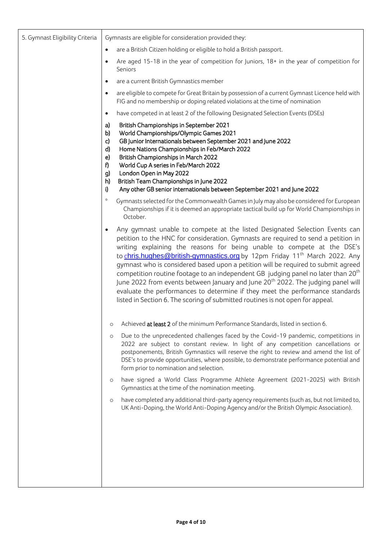| 5. Gymnast Eligibility Criteria |                                                     | Gymnasts are eligible for consideration provided they:                                                                                                                                                                                                                                                                                                                                                                                                                                                                                                                                                                                                                                                                                                                                          |
|---------------------------------|-----------------------------------------------------|-------------------------------------------------------------------------------------------------------------------------------------------------------------------------------------------------------------------------------------------------------------------------------------------------------------------------------------------------------------------------------------------------------------------------------------------------------------------------------------------------------------------------------------------------------------------------------------------------------------------------------------------------------------------------------------------------------------------------------------------------------------------------------------------------|
|                                 | $\bullet$                                           | are a British Citizen holding or eligible to hold a British passport.                                                                                                                                                                                                                                                                                                                                                                                                                                                                                                                                                                                                                                                                                                                           |
|                                 | $\bullet$                                           | Are aged 15-18 in the year of competition for Juniors, 18+ in the year of competition for<br>Seniors                                                                                                                                                                                                                                                                                                                                                                                                                                                                                                                                                                                                                                                                                            |
|                                 | $\bullet$                                           | are a current British Gymnastics member                                                                                                                                                                                                                                                                                                                                                                                                                                                                                                                                                                                                                                                                                                                                                         |
|                                 | $\bullet$                                           | are eligible to compete for Great Britain by possession of a current Gymnast Licence held with<br>FIG and no membership or doping related violations at the time of nomination                                                                                                                                                                                                                                                                                                                                                                                                                                                                                                                                                                                                                  |
|                                 | $\bullet$                                           | have competed in at least 2 of the following Designated Selection Events (DSEs)                                                                                                                                                                                                                                                                                                                                                                                                                                                                                                                                                                                                                                                                                                                 |
|                                 | a)<br>b)<br>c)<br>d)<br>e)<br>f)<br>g)<br>h)<br>ij) | British Championships in September 2021<br>World Championships/Olympic Games 2021<br>GB Junior Internationals between September 2021 and June 2022<br>Home Nations Championships in Feb/March 2022<br>British Championships in March 2022<br>World Cup A series in Feb/March 2022<br>London Open in May 2022<br>British Team Championships in June 2022<br>Any other GB senior internationals between September 2021 and June 2022                                                                                                                                                                                                                                                                                                                                                              |
|                                 | $\approx$                                           | Gymnasts selected for the Commonwealth Games in July may also be considered for European<br>Championships if it is deemed an appropriate tactical build up for World Championships in<br>October.                                                                                                                                                                                                                                                                                                                                                                                                                                                                                                                                                                                               |
|                                 |                                                     | Any gymnast unable to compete at the listed Designated Selection Events can<br>petition to the HNC for consideration. Gymnasts are required to send a petition in<br>writing explaining the reasons for being unable to compete at the DSE's<br>to chris.hughes@british-gymnastics.org by 12pm Friday 11 <sup>th</sup> March 2022. Any<br>gymnast who is considered based upon a petition will be required to submit agreed<br>competition routine footage to an independent GB judging panel no later than 20 <sup>th</sup><br>June 2022 from events between January and June 20 <sup>th</sup> 2022. The judging panel will<br>evaluate the performances to determine if they meet the performance standards<br>listed in Section 6. The scoring of submitted routines is not open for appeal. |
|                                 | $\circ$                                             | Achieved at least 2 of the minimum Performance Standards, listed in section 6.                                                                                                                                                                                                                                                                                                                                                                                                                                                                                                                                                                                                                                                                                                                  |
|                                 | $\circ$                                             | Due to the unprecedented challenges faced by the Covid-19 pandemic, competitions in<br>2022 are subject to constant review. In light of any competition cancellations or<br>postponements, British Gymnastics will reserve the right to review and amend the list of<br>DSE's to provide opportunities, where possible, to demonstrate performance potential and<br>form prior to nomination and selection.                                                                                                                                                                                                                                                                                                                                                                                     |
|                                 | $\circ$                                             | have signed a World Class Programme Athlete Agreement (2021-2025) with British<br>Gymnastics at the time of the nomination meeting.                                                                                                                                                                                                                                                                                                                                                                                                                                                                                                                                                                                                                                                             |
|                                 | $\circ$                                             | have completed any additional third-party agency requirements (such as, but not limited to,<br>UK Anti-Doping, the World Anti-Doping Agency and/or the British Olympic Association).                                                                                                                                                                                                                                                                                                                                                                                                                                                                                                                                                                                                            |
|                                 |                                                     |                                                                                                                                                                                                                                                                                                                                                                                                                                                                                                                                                                                                                                                                                                                                                                                                 |
|                                 |                                                     |                                                                                                                                                                                                                                                                                                                                                                                                                                                                                                                                                                                                                                                                                                                                                                                                 |
|                                 |                                                     |                                                                                                                                                                                                                                                                                                                                                                                                                                                                                                                                                                                                                                                                                                                                                                                                 |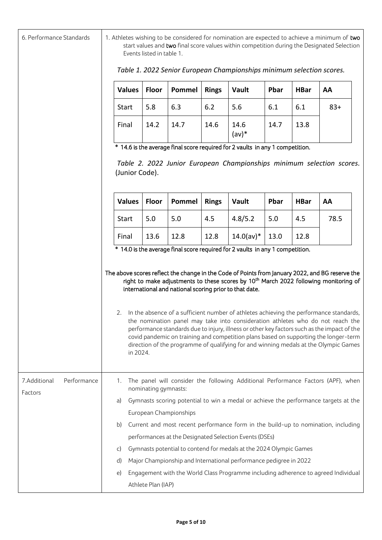| 6. Performance Standards               |                                                                                                                | 1. Athletes wishing to be considered for nomination are expected to achieve a minimum of two<br>start values and two final score values within competition during the Designated Selection<br>Events listed in table 1. |                                                        |              |                                                                                                                                                                                                                                                                                                                                                                                                                                                                                                                                                                                                                                                                   |      |             |       |  |
|----------------------------------------|----------------------------------------------------------------------------------------------------------------|-------------------------------------------------------------------------------------------------------------------------------------------------------------------------------------------------------------------------|--------------------------------------------------------|--------------|-------------------------------------------------------------------------------------------------------------------------------------------------------------------------------------------------------------------------------------------------------------------------------------------------------------------------------------------------------------------------------------------------------------------------------------------------------------------------------------------------------------------------------------------------------------------------------------------------------------------------------------------------------------------|------|-------------|-------|--|
|                                        |                                                                                                                | Table 1. 2022 Senior European Championships minimum selection scores.                                                                                                                                                   |                                                        |              |                                                                                                                                                                                                                                                                                                                                                                                                                                                                                                                                                                                                                                                                   |      |             |       |  |
|                                        | <b>Values</b>                                                                                                  | Floor                                                                                                                                                                                                                   | Pommel                                                 | <b>Rings</b> | Vault                                                                                                                                                                                                                                                                                                                                                                                                                                                                                                                                                                                                                                                             | Pbar | <b>HBar</b> | AA    |  |
|                                        | <b>Start</b>                                                                                                   | 5.8                                                                                                                                                                                                                     | 6.3                                                    | 6.2          | 5.6                                                                                                                                                                                                                                                                                                                                                                                                                                                                                                                                                                                                                                                               | 6.1  | 6.1         | $83+$ |  |
|                                        | Final                                                                                                          | 14.2                                                                                                                                                                                                                    | 14.7                                                   | 14.6         | 14.6<br>$(av)*$                                                                                                                                                                                                                                                                                                                                                                                                                                                                                                                                                                                                                                                   | 14.7 | 13.8        |       |  |
|                                        |                                                                                                                | * 14.6 is the average final score required for 2 vaults in any 1 competition.                                                                                                                                           |                                                        |              |                                                                                                                                                                                                                                                                                                                                                                                                                                                                                                                                                                                                                                                                   |      |             |       |  |
|                                        | (Junior Code).                                                                                                 |                                                                                                                                                                                                                         |                                                        |              | Table 2. 2022 Junior European Championships minimum selection scores.                                                                                                                                                                                                                                                                                                                                                                                                                                                                                                                                                                                             |      |             |       |  |
|                                        | <b>Values</b>                                                                                                  | <b>Floor</b>                                                                                                                                                                                                            | Pommel                                                 | <b>Rings</b> | Vault                                                                                                                                                                                                                                                                                                                                                                                                                                                                                                                                                                                                                                                             | Pbar | <b>HBar</b> | AA    |  |
|                                        | <b>Start</b>                                                                                                   | 5.0                                                                                                                                                                                                                     | 5.0                                                    | 4.5          | 4.8/5.2                                                                                                                                                                                                                                                                                                                                                                                                                                                                                                                                                                                                                                                           | 5.0  | 4.5         | 78.5  |  |
|                                        | Final                                                                                                          | 13.6                                                                                                                                                                                                                    | 12.8                                                   | 12.8         | $14.0 (av)*$                                                                                                                                                                                                                                                                                                                                                                                                                                                                                                                                                                                                                                                      | 13.0 | 12.8        |       |  |
|                                        | in 2024.                                                                                                       |                                                                                                                                                                                                                         | international and national scoring prior to that date. |              | The above scores reflect the change in the Code of Points from January 2022, and BG reserve the<br>right to make adjustments to these scores by 10 <sup>th</sup> March 2022 following monitoring of<br>2. In the absence of a sufficient number of athletes achieving the performance standards,<br>the nomination panel may take into consideration athletes who do not reach the<br>performance standards due to injury, illness or other key factors such as the impact of the<br>covid pandemic on training and competition plans based on supporting the longer-term<br>direction of the programme of qualifying for and winning medals at the Olympic Games |      |             |       |  |
| 7.Additional<br>Performance<br>Factors | The panel will consider the following Additional Performance Factors (APF), when<br>1.<br>nominating gymnasts: |                                                                                                                                                                                                                         |                                                        |              |                                                                                                                                                                                                                                                                                                                                                                                                                                                                                                                                                                                                                                                                   |      |             |       |  |
|                                        | a)                                                                                                             | Gymnasts scoring potential to win a medal or achieve the performance targets at the                                                                                                                                     |                                                        |              |                                                                                                                                                                                                                                                                                                                                                                                                                                                                                                                                                                                                                                                                   |      |             |       |  |
|                                        |                                                                                                                | European Championships                                                                                                                                                                                                  |                                                        |              |                                                                                                                                                                                                                                                                                                                                                                                                                                                                                                                                                                                                                                                                   |      |             |       |  |
|                                        | b)                                                                                                             | Current and most recent performance form in the build-up to nomination, including                                                                                                                                       |                                                        |              |                                                                                                                                                                                                                                                                                                                                                                                                                                                                                                                                                                                                                                                                   |      |             |       |  |
|                                        |                                                                                                                | performances at the Designated Selection Events (DSEs)                                                                                                                                                                  |                                                        |              |                                                                                                                                                                                                                                                                                                                                                                                                                                                                                                                                                                                                                                                                   |      |             |       |  |
|                                        | C)                                                                                                             |                                                                                                                                                                                                                         |                                                        |              | Gymnasts potential to contend for medals at the 2024 Olympic Games                                                                                                                                                                                                                                                                                                                                                                                                                                                                                                                                                                                                |      |             |       |  |
|                                        | d)                                                                                                             |                                                                                                                                                                                                                         |                                                        |              | Major Championship and International performance pedigree in 2022                                                                                                                                                                                                                                                                                                                                                                                                                                                                                                                                                                                                 |      |             |       |  |
|                                        | e)                                                                                                             | Athlete Plan (IAP)                                                                                                                                                                                                      |                                                        |              | Engagement with the World Class Programme including adherence to agreed Individual                                                                                                                                                                                                                                                                                                                                                                                                                                                                                                                                                                                |      |             |       |  |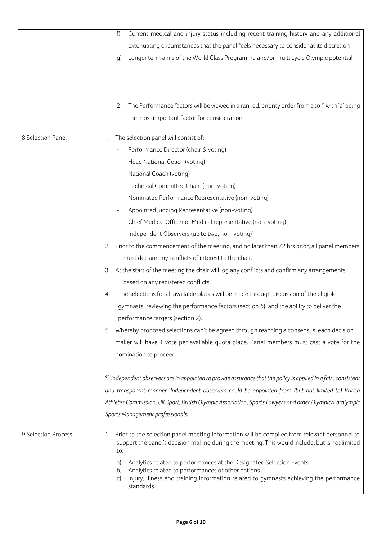|                      | Current medical and injury status including recent training history and any additional<br>f)                                                                                                             |
|----------------------|----------------------------------------------------------------------------------------------------------------------------------------------------------------------------------------------------------|
|                      | extenuating circumstances that the panel feels necessary to consider at its discretion                                                                                                                   |
|                      | Longer term aims of the World Class Programme and/or multi cycle Olympic potential<br>g)                                                                                                                 |
|                      |                                                                                                                                                                                                          |
|                      | The Performance factors will be viewed in a ranked, priority order from a to f, with 'a' being<br>2.                                                                                                     |
|                      | the most important factor for consideration.                                                                                                                                                             |
| 8.Selection Panel    | 1. The selection panel will consist of:                                                                                                                                                                  |
|                      | Performance Director (chair & voting)                                                                                                                                                                    |
|                      | Head National Coach (voting)                                                                                                                                                                             |
|                      | National Coach (voting)                                                                                                                                                                                  |
|                      | Technical Committee Chair (non-voting)                                                                                                                                                                   |
|                      | Nominated Performance Representative (non-voting)                                                                                                                                                        |
|                      | Appointed Judging Representative (non-voting)                                                                                                                                                            |
|                      | Chief Medical Officer or Medical representative (non-voting)                                                                                                                                             |
|                      | Independent Observers (up to two, non-voting)*1                                                                                                                                                          |
|                      | 2. Prior to the commencement of the meeting, and no later than 72 hrs prior, all panel members                                                                                                           |
|                      | must declare any conflicts of interest to the chair.                                                                                                                                                     |
|                      | 3. At the start of the meeting the chair will log any conflicts and confirm any arrangements                                                                                                             |
|                      | based on any registered conflicts.                                                                                                                                                                       |
|                      | The selections for all available places will be made through discussion of the eligible<br>4.                                                                                                            |
|                      | gymnasts, reviewing the performance factors (section 6), and the ability to deliver the                                                                                                                  |
|                      | performance targets (section 2).                                                                                                                                                                         |
|                      | 5. Whereby proposed selections can't be agreed through reaching a consensus, each decision                                                                                                               |
|                      | maker will have 1 vote per available quota place. Panel members must cast a vote for the                                                                                                                 |
|                      | nomination to proceed.                                                                                                                                                                                   |
|                      | *1 Independent observers are in appointed to provide assurance that the policy is applied in a fair, consistent                                                                                          |
|                      | and transparent manner. Independent observers could be appointed from (but not limited to) British                                                                                                       |
|                      | Athletes Commission, UK Sport, British Olympic Association, Sports Lawyers and other Olympic/Paralympic                                                                                                  |
|                      | Sports Management professionals.                                                                                                                                                                         |
| 9. Selection Process | 1. Prior to the selection panel meeting information will be compiled from relevant personnel to<br>support the panel's decision making during the meeting. This would include, but is not limited<br>to: |
|                      | Analytics related to performances at the Designated Selection Events<br>a)                                                                                                                               |
|                      | Analytics related to performances of other nations<br>b)<br>Injury, Illness and training information related to gymnasts achieving the performance<br>C)<br>standards                                    |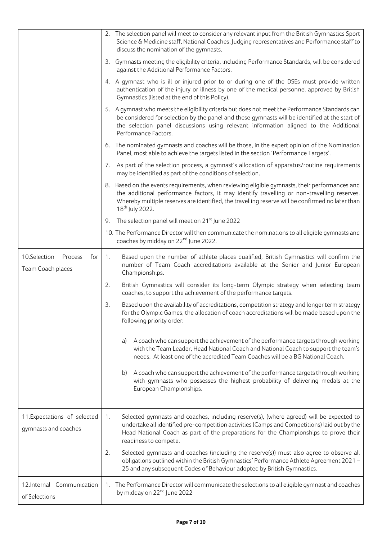|                                                      |    | 2. The selection panel will meet to consider any relevant input from the British Gymnastics Sport<br>Science & Medicine staff, National Coaches, Judging representatives and Performance staff to<br>discuss the nomination of the gymnasts.                                                                                |
|------------------------------------------------------|----|-----------------------------------------------------------------------------------------------------------------------------------------------------------------------------------------------------------------------------------------------------------------------------------------------------------------------------|
|                                                      |    | 3. Gymnasts meeting the eligibility criteria, including Performance Standards, will be considered<br>against the Additional Performance Factors.                                                                                                                                                                            |
|                                                      |    | 4. A gymnast who is ill or injured prior to or during one of the DSEs must provide written<br>authentication of the injury or illness by one of the medical personnel approved by British<br>Gymnastics (listed at the end of this Policy).                                                                                 |
|                                                      |    | 5. A gymnast who meets the eligibility criteria but does not meet the Performance Standards can<br>be considered for selection by the panel and these gymnasts will be identified at the start of<br>the selection panel discussions using relevant information aligned to the Additional<br>Performance Factors.           |
|                                                      |    | 6. The nominated gymnasts and coaches will be those, in the expert opinion of the Nomination<br>Panel, most able to achieve the targets listed in the section 'Performance Targets'.                                                                                                                                        |
|                                                      |    | 7. As part of the selection process, a gymnast's allocation of apparatus/routine requirements<br>may be identified as part of the conditions of selection.                                                                                                                                                                  |
|                                                      | 8. | Based on the events requirements, when reviewing eligible gymnasts, their performances and<br>the additional performance factors, it may identify travelling or non-travelling reserves.<br>Whereby multiple reserves are identified, the travelling reserve will be confirmed no later than<br>18 <sup>th</sup> July 2022. |
|                                                      | 9. | The selection panel will meet on 21 <sup>st</sup> June 2022                                                                                                                                                                                                                                                                 |
|                                                      |    | 10. The Performance Director will then communicate the nominations to all eligible gymnasts and<br>coaches by midday on 22 <sup>nd</sup> June 2022.                                                                                                                                                                         |
| 10.Selection<br>Process<br>for<br>Team Coach places  | 1. | Based upon the number of athlete places qualified, British Gymnastics will confirm the<br>number of Team Coach accreditations available at the Senior and Junior European<br>Championships.                                                                                                                                 |
|                                                      | 2. | British Gymnastics will consider its long-term Olympic strategy when selecting team<br>coaches, to support the achievement of the performance targets.                                                                                                                                                                      |
|                                                      | 3. | Based upon the availability of accreditations, competition strategy and longer term strategy<br>for the Olympic Games, the allocation of coach accreditations will be made based upon the<br>following priority order:                                                                                                      |
|                                                      |    | A coach who can support the achievement of the performance targets through working<br>a)<br>with the Team Leader, Head National Coach and National Coach to support the team's<br>needs. At least one of the accredited Team Coaches will be a BG National Coach.                                                           |
|                                                      |    | A coach who can support the achievement of the performance targets through working<br>b)<br>with gymnasts who possesses the highest probability of delivering medals at the<br>European Championships.                                                                                                                      |
| 11. Expectations of selected<br>gymnasts and coaches | 1. | Selected gymnasts and coaches, including reserve(s), (where agreed) will be expected to<br>undertake all identified pre-competition activities (Camps and Competitions) laid out by the<br>Head National Coach as part of the preparations for the Championships to prove their<br>readiness to compete.                    |
|                                                      | 2. | Selected gymnasts and coaches (including the reserve(s)) must also agree to observe all<br>obligations outlined within the British Gymnastics' Performance Athlete Agreement 2021-<br>25 and any subsequent Codes of Behaviour adopted by British Gymnastics.                                                               |
| 12.Internal Communication<br>of Selections           | 1. | The Performance Director will communicate the selections to all eligible gymnast and coaches<br>by midday on 22 <sup>nd</sup> June 2022                                                                                                                                                                                     |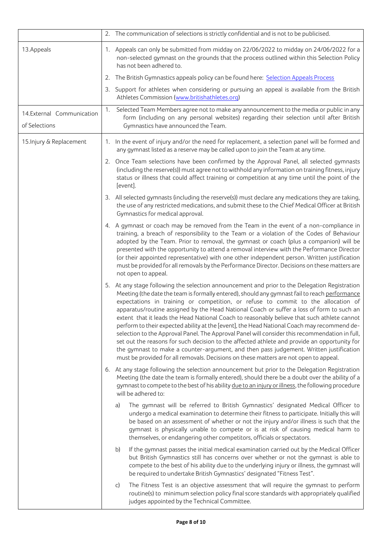|                                            |    | 2. The communication of selections is strictly confidential and is not to be publicised.                                                                                                                                                                                                                                                                                                                                                                                                                                                                                                                                                                                                                                                                                                                                                                                                                                                                            |
|--------------------------------------------|----|---------------------------------------------------------------------------------------------------------------------------------------------------------------------------------------------------------------------------------------------------------------------------------------------------------------------------------------------------------------------------------------------------------------------------------------------------------------------------------------------------------------------------------------------------------------------------------------------------------------------------------------------------------------------------------------------------------------------------------------------------------------------------------------------------------------------------------------------------------------------------------------------------------------------------------------------------------------------|
| 13.Appeals                                 |    | 1. Appeals can only be submitted from midday on 22/06/2022 to midday on 24/06/2022 for a<br>non-selected gymnast on the grounds that the process outlined within this Selection Policy<br>has not been adhered to.                                                                                                                                                                                                                                                                                                                                                                                                                                                                                                                                                                                                                                                                                                                                                  |
|                                            | 2. | The British Gymnastics appeals policy can be found here: Selection Appeals Process                                                                                                                                                                                                                                                                                                                                                                                                                                                                                                                                                                                                                                                                                                                                                                                                                                                                                  |
|                                            |    | 3. Support for athletes when considering or pursuing an appeal is available from the British<br>Athletes Commission (www.britishathletes.org)                                                                                                                                                                                                                                                                                                                                                                                                                                                                                                                                                                                                                                                                                                                                                                                                                       |
| 14.External Communication<br>of Selections | 1. | Selected Team Members agree not to make any announcement to the media or public in any<br>form (including on any personal websites) regarding their selection until after British<br>Gymnastics have announced the Team.                                                                                                                                                                                                                                                                                                                                                                                                                                                                                                                                                                                                                                                                                                                                            |
| 15. Injury & Replacement                   |    | 1. In the event of injury and/or the need for replacement, a selection panel will be formed and<br>any gymnast listed as a reserve may be called upon to join the Team at any time.                                                                                                                                                                                                                                                                                                                                                                                                                                                                                                                                                                                                                                                                                                                                                                                 |
|                                            |    | 2. Once Team selections have been confirmed by the Approval Panel, all selected gymnasts<br>(including the reserve(s)) must agree not to withhold any information on training fitness, injury<br>status or illness that could affect training or competition at any time until the point of the<br>[event].                                                                                                                                                                                                                                                                                                                                                                                                                                                                                                                                                                                                                                                         |
|                                            |    | 3. All selected gymnasts (including the reserve(s)) must declare any medications they are taking,<br>the use of any restricted medications, and submit these to the Chief Medical Officer at British<br>Gymnastics for medical approval.                                                                                                                                                                                                                                                                                                                                                                                                                                                                                                                                                                                                                                                                                                                            |
|                                            |    | 4. A gymnast or coach may be removed from the Team in the event of a non-compliance in<br>training, a breach of responsibility to the Team or a violation of the Codes of Behaviour<br>adopted by the Team. Prior to removal, the gymnast or coach (plus a companion) will be<br>presented with the opportunity to attend a removal interview with the Performance Director<br>(or their appointed representative) with one other independent person. Written justification<br>must be provided for all removals by the Performance Director. Decisions on these matters are<br>not open to appeal.                                                                                                                                                                                                                                                                                                                                                                 |
|                                            |    | 5. At any stage following the selection announcement and prior to the Delegation Registration<br>Meeting (the date the team is formally entered), should any gymnast fail to reach performance<br>expectations in training or competition, or refuse to commit to the allocation of<br>apparatus/routine assigned by the Head National Coach or suffer a loss of form to such an<br>extent that it leads the Head National Coach to reasonably believe that such athlete cannot<br>perform to their expected ability at the [event], the Head National Coach may recommend de-<br>selection to the Approval Panel. The Approval Panel will consider this recommendation in full,<br>set out the reasons for such decision to the affected athlete and provide an opportunity for<br>the gymnast to make a counter-argument, and then pass judgement. Written justification<br>must be provided for all removals. Decisions on these matters are not open to appeal. |
|                                            |    | 6. At any stage following the selection announcement but prior to the Delegation Registration<br>Meeting (the date the team is formally entered), should there be a doubt over the ability of a<br>gymnast to compete to the best of his ability due to an injury or illness, the following procedure<br>will be adhered to:                                                                                                                                                                                                                                                                                                                                                                                                                                                                                                                                                                                                                                        |
|                                            |    | The gymnast will be referred to British Gymnastics' designated Medical Officer to<br>a)<br>undergo a medical examination to determine their fitness to participate. Initially this will<br>be based on an assessment of whether or not the injury and/or illness is such that the<br>gymnast is physically unable to compete or is at risk of causing medical harm to<br>themselves, or endangering other competitors, officials or spectators.                                                                                                                                                                                                                                                                                                                                                                                                                                                                                                                     |
|                                            |    | b)<br>If the gymnast passes the initial medical examination carried out by the Medical Officer<br>but British Gymnastics still has concerns over whether or not the gymnast is able to<br>compete to the best of his ability due to the underlying injury or illness, the gymnast will<br>be required to undertake British Gymnastics' designated "Fitness Test".                                                                                                                                                                                                                                                                                                                                                                                                                                                                                                                                                                                                   |
|                                            |    | The Fitness Test is an objective assessment that will require the gymnast to perform<br>C)<br>routine(s) to minimum selection policy final score standards with appropriately qualified<br>judges appointed by the Technical Committee.                                                                                                                                                                                                                                                                                                                                                                                                                                                                                                                                                                                                                                                                                                                             |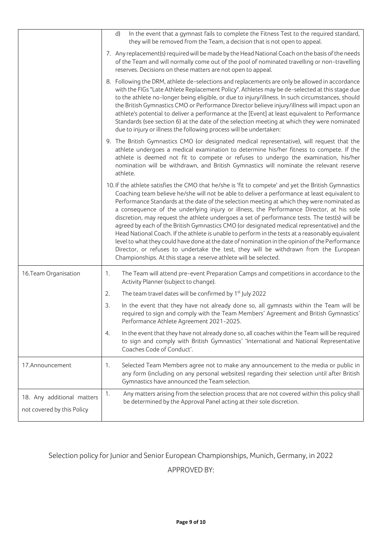|                                                          | In the event that a gymnast fails to complete the Fitness Test to the required standard,<br>d)<br>they will be removed from the Team, a decision that is not open to appeal.                                                                                                                                                                                                                                                                                                                                                                                                                                                                                                                                                                                                                                                                                                                                                                                     |
|----------------------------------------------------------|------------------------------------------------------------------------------------------------------------------------------------------------------------------------------------------------------------------------------------------------------------------------------------------------------------------------------------------------------------------------------------------------------------------------------------------------------------------------------------------------------------------------------------------------------------------------------------------------------------------------------------------------------------------------------------------------------------------------------------------------------------------------------------------------------------------------------------------------------------------------------------------------------------------------------------------------------------------|
|                                                          | 7. Any replacement(s) required will be made by the Head National Coach on the basis of the needs<br>of the Team and will normally come out of the pool of nominated travelling or non-travelling<br>reserves. Decisions on these matters are not open to appeal.                                                                                                                                                                                                                                                                                                                                                                                                                                                                                                                                                                                                                                                                                                 |
|                                                          | 8. Following the DRM, athlete de-selections and replacements are only be allowed in accordance<br>with the FIGs "Late Athlete Replacement Policy". Athletes may be de-selected at this stage due<br>to the athlete no-longer being eligible, or due to injury/illness. In such circumstances, should<br>the British Gymnastics CMO or Performance Director believe injury/illness will impact upon an<br>athlete's potential to deliver a performance at the [Event] at least equivalent to Performance<br>Standards (see section 6) at the date of the selection meeting at which they were nominated<br>due to injury or illness the following process will be undertaken:                                                                                                                                                                                                                                                                                     |
|                                                          | 9. The British Gymnastics CMO (or designated medical representative), will request that the<br>athlete undergoes a medical examination to determine his/her fitness to compete. If the<br>athlete is deemed not fit to compete or refuses to undergo the examination, his/her<br>nomination will be withdrawn, and British Gymnastics will nominate the relevant reserve<br>athlete.                                                                                                                                                                                                                                                                                                                                                                                                                                                                                                                                                                             |
|                                                          | 10. If the athlete satisfies the CMO that he/she is 'fit to compete' and yet the British Gymnastics<br>Coaching team believe he/she will not be able to deliver a performance at least equivalent to<br>Performance Standards at the date of the selection meeting at which they were nominated as<br>a consequence of the underlying injury or illness, the Performance Director, at his sole<br>discretion, may request the athlete undergoes a set of performance tests. The test(s) will be<br>agreed by each of the British Gymnastics CMO (or designated medical representative) and the<br>Head National Coach. If the athlete is unable to perform in the tests at a reasonably equivalent<br>level to what they could have done at the date of nomination in the opinion of the Performance<br>Director, or refuses to undertake the test, they will be withdrawn from the European<br>Championships. At this stage a reserve athlete will be selected. |
| 16. Team Organisation                                    | The Team will attend pre-event Preparation Camps and competitions in accordance to the<br>1.<br>Activity Planner (subject to change).                                                                                                                                                                                                                                                                                                                                                                                                                                                                                                                                                                                                                                                                                                                                                                                                                            |
|                                                          | The team travel dates will be confirmed by 1 <sup>st</sup> July 2022<br>2.                                                                                                                                                                                                                                                                                                                                                                                                                                                                                                                                                                                                                                                                                                                                                                                                                                                                                       |
|                                                          | 3.<br>In the event that they have not already done so, all gymnasts within the Team will be<br>required to sign and comply with the Team Members' Agreement and British Gymnastics'<br>Performance Athlete Agreement 2021-2025.                                                                                                                                                                                                                                                                                                                                                                                                                                                                                                                                                                                                                                                                                                                                  |
|                                                          | In the event that they have not already done so, all coaches within the Team will be required<br>4.<br>to sign and comply with British Gymnastics' 'International and National Representative<br>Coaches Code of Conduct'.                                                                                                                                                                                                                                                                                                                                                                                                                                                                                                                                                                                                                                                                                                                                       |
| 17.Announcement                                          | Selected Team Members agree not to make any announcement to the media or public in<br>1.<br>any form (including on any personal websites) regarding their selection until after British<br>Gymnastics have announced the Team selection.                                                                                                                                                                                                                                                                                                                                                                                                                                                                                                                                                                                                                                                                                                                         |
| 18. Any additional matters<br>not covered by this Policy | Any matters arising from the selection process that are not covered within this policy shall<br>1.<br>be determined by the Approval Panel acting at their sole discretion.                                                                                                                                                                                                                                                                                                                                                                                                                                                                                                                                                                                                                                                                                                                                                                                       |

#### Selection policy for Junior and Senior European Championships, Munich, Germany, in 2022

APPROVED BY: